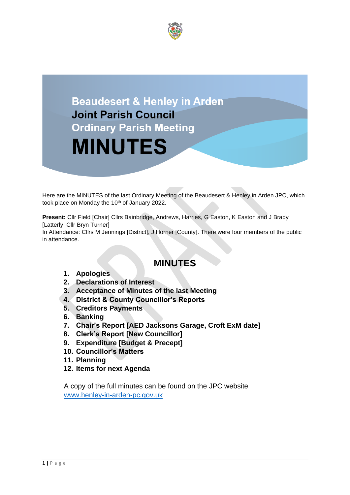



Here are the MINUTES of the last Ordinary Meeting of the Beaudesert & Henley in Arden JPC, which took place on Monday the 10<sup>th</sup> of January 2022.

**Present:** Cllr Field [Chair] Cllrs Bainbridge, Andrews, Harries, G Easton, K Easton and J Brady [Latterly, Cllr Bryn Turner]

In Attendance: Cllrs M Jennings [District], J Horner [County]. There were four members of the public in attendance.

# **MINUTES**

- **1. Apologies**
- **2. Declarations of Interest**
- **3. Acceptance of Minutes of the last Meeting**
- **4. District & County Councillor's Reports**
- **5. Creditors Payments**
- **6. Banking**
- **7. Chair's Report [AED Jacksons Garage, Croft ExM date]**
- **8. Clerk's Report [New Councillor]**
- **9. Expenditure [Budget & Precept]**
- **10. Councillor's Matters**
- **11. Planning**
- **12. Items for next Agenda**

A copy of the full minutes can be found on the JPC website [www.henley-in-arden-pc.gov.uk](http://www.henley-in-arden-pc.gov.uk/)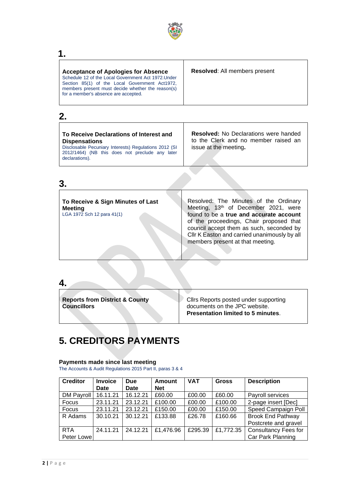

# **1.**

| <b>Acceptance of Apologies for Absence</b><br>Schedule 12 of the Local Government Act 1972. Under<br>Section 85(1) of the Local Government Act1972,<br>members present must decide whether the reason(s)<br>for a member's absence are accepted. | <b>Resolved: All members present</b> |
|--------------------------------------------------------------------------------------------------------------------------------------------------------------------------------------------------------------------------------------------------|--------------------------------------|
|                                                                                                                                                                                                                                                  |                                      |

# **2.**

| To Receive Declarations of Interest and<br><b>Dispensations</b><br>Disclosable Pecuniary Interests) Regulations 2012 (SI<br>2012/1464) (NB this does not preclude any later<br>declarations). | <b>Resolved:</b> No Declarations were handed<br>to the Clerk and no member raised an<br>issue at the meeting. |
|-----------------------------------------------------------------------------------------------------------------------------------------------------------------------------------------------|---------------------------------------------------------------------------------------------------------------|
|                                                                                                                                                                                               |                                                                                                               |

# **3.**

| To Receive & Sign Minutes of Last<br><b>Meeting</b><br>LGA 1972 Sch 12 para 41(1) | Resolved: The Minutes of the Ordinary<br>Meeting, 13th of December 2021, were<br>found to be a true and accurate account<br>of the proceedings, Chair proposed that<br>council accept them as such, seconded by<br>Cllr K Easton and carried unanimously by all<br>members present at that meeting. |
|-----------------------------------------------------------------------------------|-----------------------------------------------------------------------------------------------------------------------------------------------------------------------------------------------------------------------------------------------------------------------------------------------------|
|                                                                                   |                                                                                                                                                                                                                                                                                                     |

| <b>Reports from District &amp; County</b><br><b>Councillors</b> | Cllrs Reports posted under supporting<br>documents on the JPC website.<br><b>Presentation limited to 5 minutes.</b> |
|-----------------------------------------------------------------|---------------------------------------------------------------------------------------------------------------------|

# **5. CREDITORS PAYMENTS**

### **Payments made since last meeting**

The Accounts & Audit Regulations 2015 Part II, paras 3 & 4

| <b>Creditor</b>   | <b>Invoice</b><br><b>Date</b> | Due<br><b>Date</b> | <b>Amount</b><br><b>Net</b> | <b>VAT</b> | <b>Gross</b> | <b>Description</b>          |
|-------------------|-------------------------------|--------------------|-----------------------------|------------|--------------|-----------------------------|
| <b>DM Payroll</b> | 16.11.21                      | 16.12.21           | £60.00                      | £00.00     | £60.00       | Payroll services            |
| Focus             | 23.11.21                      | 23.12.21           | £100.00                     | £00.00     | £100.00      | 2-page insert [Dec]         |
| Focus             | 23.11.21                      | 23.12.21           | £150.00                     | £00.00     | £150.00      | Speed Campaign Poll         |
| R Adams           | 30.10.21                      | 30.12.21           | £133.88                     | £26.78     | £160.66      | <b>Brook End Pathway</b>    |
|                   |                               |                    |                             |            |              | Postcrete and gravel        |
| <b>RTA</b>        | 24.11.21                      | 24.12.21           | £1,476.96                   | £295.39    | £1,772.35    | <b>Consultancy Fees for</b> |
| Peter Lowel       |                               |                    |                             |            |              | Car Park Planning           |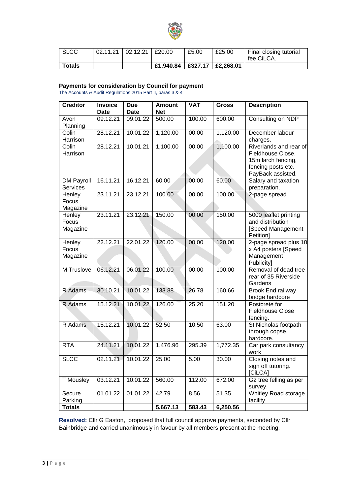

| <b>SLCC</b> | $02.11.21$   02.12.21   £20.00 |           | £5.00 | £25.00                    | Final closing tutorial<br>fee CiLCA. |
|-------------|--------------------------------|-----------|-------|---------------------------|--------------------------------------|
| Totals      |                                | £1,940.84 |       | $ $ £327.17 $ $ £2,268.01 |                                      |

### **Payments for consideration by Council for payment**

The Accounts & Audit Regulations 2015 Part II, paras 3 & 4

| <b>Creditor</b>               | <b>Invoice</b><br><b>Date</b> | <b>Due</b><br><b>Date</b> | <b>Amount</b><br><b>Net</b> | <b>VAT</b> | <b>Gross</b> | <b>Description</b>                                                                                           |
|-------------------------------|-------------------------------|---------------------------|-----------------------------|------------|--------------|--------------------------------------------------------------------------------------------------------------|
| Avon<br>Planning              | 09.12.21                      | 09.01.22                  | 500.00                      | 100.00     | 600.00       | Consulting on NDP                                                                                            |
| Colin<br>Harrison             | 28.12.21                      | 10.01.22                  | 1,120.00                    | 00.00      | 1,120.00     | December labour<br>charges.                                                                                  |
| Colin<br>Harrison             | 28.12.21                      | 10.01.21                  | 1,100.00                    | 00.00      | 1,100.00     | Riverlands and rear of<br>Fieldhouse Close.<br>15m larch fencing,<br>fencing posts etc.<br>PayBack assisted. |
| <b>DM Payroll</b><br>Services | 16.11.21                      | 16.12.21                  | 60.00                       | 00.00      | 60.00        | Salary and taxation<br>preparation.                                                                          |
| Henley<br>Focus<br>Magazine   | 23.11.21                      | 23.12.21                  | 100.00                      | 00.00      | 100.00       | 2-page spread                                                                                                |
| Henley<br>Focus<br>Magazine   | 23.11.21                      | 23.12.21                  | 150.00                      | 00.00      | 150.00       | 5000 leaflet printing<br>and distribution<br>[Speed Management<br>Petition]                                  |
| Henley<br>Focus<br>Magazine   | 22.12.21                      | 22.01.22                  | 120.00                      | 00.00      | 120.00       | 2-page spread plus 10<br>x A4 posters [Speed<br>Management<br>Publicity]                                     |
| M Truslove                    | 06.12.21                      | 06.01.22                  | 100.00                      | 00.00      | 100.00       | Removal of dead tree<br>rear of 35 Riverside<br>Gardens                                                      |
| R Adams                       | 30.10.21                      | 10.01.22                  | 133.88                      | 26.78      | 160.66       | Brook End railway<br>bridge hardcore                                                                         |
| R Adams                       | 15.12.21                      | 10.01.22                  | 126.00                      | 25.20      | 151.20       | Postcrete for<br><b>Fieldhouse Close</b><br>fencing.                                                         |
| R Adams                       | 15.12.21                      | 10.01.22                  | 52.50                       | 10.50      | 63.00        | St Nicholas footpath<br>through copse,<br>hardcore.                                                          |
| <b>RTA</b>                    | 24.11.21                      | 10.01.22                  | 1,476.96                    | 295.39     | 1,772.35     | Car park consultancy<br>work                                                                                 |
| <b>SLCC</b>                   | 02.11.21                      | 10.01.22                  | 25.00                       | 5.00       | 30.00        | Closing notes and<br>sign off tutoring.<br>[CiLCA]                                                           |
| <b>T</b> Mousley              | 03.12.21                      | 10.01.22                  | 560.00                      | 112.00     | 672.00       | G2 tree felling as per<br>survey.                                                                            |
| Secure<br>Parking             | 01.01.22                      | 01.01.22                  | 42.79                       | 8.56       | 51.35        | Whitley Road storage<br>facility                                                                             |
| <b>Totals</b>                 |                               |                           | 5,667.13                    | 583.43     | 6,250.56     |                                                                                                              |

**Resolved:** Cllr G Easton, proposed that full council approve payments, seconded by Cllr Bainbridge and carried unanimously in favour by all members present at the meeting.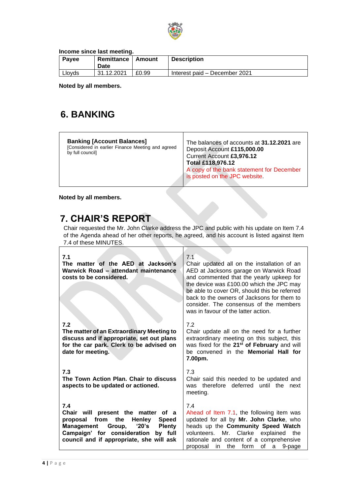

**Income since last meeting.**

| Payee  | Remittance   Amount<br>Date |       | <b>Description</b>            |
|--------|-----------------------------|-------|-------------------------------|
| Lloyds | 31.12.2021                  | £0.99 | Interest paid – December 2021 |

**Noted by all members.**

# **6. BANKING**

| <b>Banking [Account Balances]</b><br>[Considered in earlier Finance Meeting and agreed<br>by full council] | The balances of accounts at 31.12.2021 are<br>Deposit Account £115,000.00<br>Current Account £3,976.12<br>Total £118,976.12<br>A copy of the bank statement for December<br>is posted on the JPC website. |
|------------------------------------------------------------------------------------------------------------|-----------------------------------------------------------------------------------------------------------------------------------------------------------------------------------------------------------|
|------------------------------------------------------------------------------------------------------------|-----------------------------------------------------------------------------------------------------------------------------------------------------------------------------------------------------------|

**Noted by all members.**

# **7. CHAIR'S REPORT**

Chair requested the Mr. John Clarke address the JPC and public with his update on Item 7.4 of the Agenda ahead of her other reports, he agreed, and his account is listed against Item 7.4 of these MINUTES.

 $\top$ 

| 7.1<br>The matter of the AED at Jackson's<br>Warwick Road - attendant maintenance<br>costs to be considered.                                                                                                                                         | 7.1<br>Chair updated all on the installation of an<br>AED at Jacksons garage on Warwick Road<br>and commented that the yearly upkeep for<br>the device was £100.00 which the JPC may<br>be able to cover OR, should this be referred<br>back to the owners of Jacksons for them to<br>consider. The consensus of the members<br>was in favour of the latter action. |
|------------------------------------------------------------------------------------------------------------------------------------------------------------------------------------------------------------------------------------------------------|---------------------------------------------------------------------------------------------------------------------------------------------------------------------------------------------------------------------------------------------------------------------------------------------------------------------------------------------------------------------|
| 7.2<br>The matter of an Extraordinary Meeting to<br>discuss and if appropriate, set out plans<br>for the car park. Clerk to be advised on<br>date for meeting.                                                                                       | 7.2<br>Chair update all on the need for a further<br>extraordinary meeting on this subject, this<br>was fixed for the 21 <sup>st</sup> of February and will<br>be convened in the <b>Memorial Hall for</b><br>7.00pm.                                                                                                                                               |
| 7.3<br>The Town Action Plan. Chair to discuss<br>aspects to be updated or actioned.                                                                                                                                                                  | 7.3<br>Chair said this needed to be updated and<br>was therefore deferred until the next<br>meeting.                                                                                                                                                                                                                                                                |
| 7.4<br>Chair will present the matter<br>of a<br>proposal from<br>the<br><b>Henley</b><br><b>Speed</b><br><b>Management</b><br>Group,<br>'20's<br><b>Plenty</b><br>Campaign' for consideration<br>by full<br>council and if appropriate, she will ask | 7.4<br>Ahead of Item 7.1, the following item was<br>updated for all by Mr. John Clarke, who<br>heads up the Community Speed Watch<br>volunteers. Mr. Clarke explained<br>the<br>rationale and content of a comprehensive<br>proposal in the form<br>of<br>a<br>9-page                                                                                               |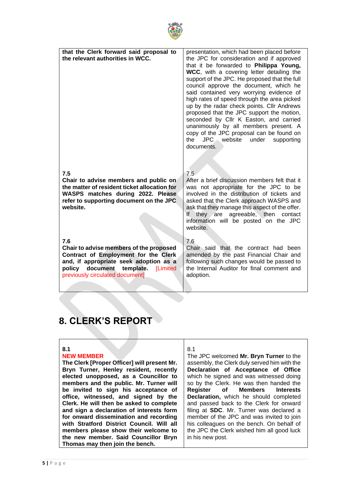

| that the Clerk forward said proposal to<br>the relevant authorities in WCC.                                                                                                                               | presentation, which had been placed before<br>the JPC for consideration and if approved<br>that it be forwarded to Philippa Young,<br>WCC, with a covering letter detailing the<br>support of the JPC. He proposed that the full<br>council approve the document, which he<br>said contained very worrying evidence of<br>high rates of speed through the area picked<br>up by the radar check points. Cllr Andrews<br>proposed that the JPC support the motion,<br>seconded by Cllr K Easton, and carried<br>unanimously by all members present. A<br>copy of the JPC proposal can be found on<br>JPC website<br>the<br>under<br>supporting<br>documents. |
|-----------------------------------------------------------------------------------------------------------------------------------------------------------------------------------------------------------|------------------------------------------------------------------------------------------------------------------------------------------------------------------------------------------------------------------------------------------------------------------------------------------------------------------------------------------------------------------------------------------------------------------------------------------------------------------------------------------------------------------------------------------------------------------------------------------------------------------------------------------------------------|
| 7.5<br>Chair to advise members and public on<br>the matter of resident ticket allocation for<br>WASPS matches during 2022. Please<br>refer to supporting document on the JPC<br>website.                  | 7.5<br>After a brief discussion members felt that it<br>was not appropriate for the JPC to be<br>involved in the distribution of tickets and<br>asked that the Clerk approach WASPS and<br>ask that they manage this aspect of the offer.<br>If they are agreeable, then contact<br>information will be posted on the JPC<br>website.                                                                                                                                                                                                                                                                                                                      |
| 7.6<br>Chair to advise members of the proposed<br>Contract of Employment for the Clerk<br>and, if appropriate seek adoption as a<br>policy document template. [Limited<br>previously circulated document] | 7.6<br>Chair said that the contract had been<br>amended by the past Financial Chair and<br>following such changes would be passed to<br>the Internal Auditor for final comment and<br>adoption.                                                                                                                                                                                                                                                                                                                                                                                                                                                            |
|                                                                                                                                                                                                           |                                                                                                                                                                                                                                                                                                                                                                                                                                                                                                                                                                                                                                                            |

# **8. CLERK'S REPORT**

### **8.1**

### **NEW MEMBER**

**The Clerk [Proper Officer] will present Mr. Bryn Turner, Henley resident, recently elected unopposed, as a Councillor to members and the public. Mr. Turner will be invited to sign his acceptance of office, witnessed, and signed by the Clerk. He will then be asked to complete and sign a declaration of interests form for onward dissemination and recording with Stratford District Council. Will all members please show their welcome to the new member. Said Councillor Bryn Thomas may then join the bench.** 

### 8.1

The JPC welcomed **Mr. Bryn Turner** to the assembly, the Clerk duly served him with the **Declaration of Acceptance of Office** which he signed and was witnessed doing so by the Clerk. He was then handed the<br>Register of Members Interests **Register of Members Interests Declaration,** which he should completed and passed back to the Clerk for onward filing at **SDC**. Mr. Turner was declared a member of the JPC and was invited to join his colleagues on the bench. On behalf of the JPC the Clerk wished him all good luck in his new post.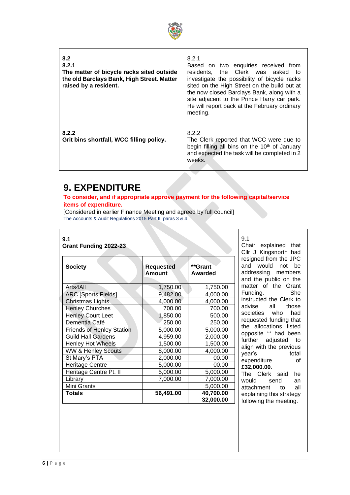

| 8.2<br>8.2.1<br>The matter of bicycle racks sited outside<br>the old Barclays Bank, High Street. Matter<br>raised by a resident. | 8.2.1<br>Based on two enquiries received from<br>the Clerk was asked<br>residents.<br>to<br>investigate the possibility of bicycle racks<br>sited on the High Street on the build out at<br>the now closed Barclays Bank, along with a<br>site adjacent to the Prince Harry car park.<br>He will report back at the February ordinary<br>meeting. |
|----------------------------------------------------------------------------------------------------------------------------------|---------------------------------------------------------------------------------------------------------------------------------------------------------------------------------------------------------------------------------------------------------------------------------------------------------------------------------------------------|
| 8.2.2<br>Grit bins shortfall, WCC filling policy.                                                                                | 8.2.2<br>The Clerk reported that WCC were due to<br>begin filling all bins on the 10 <sup>th</sup> of January<br>and expected the task will be completed in 2<br>weeks.                                                                                                                                                                           |

# **9. EXPENDITURE**

### **To consider, and if appropriate approve payment for the following capital/service items of expenditure.**

[Considered in earlier Finance Meeting and agreed by full council] The Accounts & Audit Regulations 2015 Part II, paras 3 & 4

#### **9.1 Grant Funding 2022-23**

| <b>Society</b>                   | <b>Requested</b><br>Amount | **Grant<br>Awarded     |  |
|----------------------------------|----------------------------|------------------------|--|
| Arts4All                         | 1,750.00                   | 1,750.00               |  |
| <b>ARC [Sports Fields]</b>       | 9,482.00                   | 4,000.00               |  |
| <b>Christmas Lights</b>          | 4,000.00                   | 4,000.00               |  |
| <b>Henley Churches</b>           | 700.00                     | 700.00                 |  |
| <b>Henley Court Leet</b>         | 1,850.00                   | 500.00                 |  |
| Dementia Café                    | 250.00                     | 250.00                 |  |
| <b>Friends of Henley Station</b> | 5,000.00                   | 5,000.00               |  |
| <b>Guild Hall Gardens</b>        | 4.959.00                   | 2,000.00               |  |
| <b>Henley Hot Wheels</b>         | 1,500.00                   | 1,500.00               |  |
| <b>WW &amp; Henley Scouts</b>    | 8,000.00                   | 4,000.00               |  |
| St Mary's PTA                    | 2,000.00                   | 00.00                  |  |
| <b>Heritage Centre</b>           | 5,000.00                   | 00.00                  |  |
| Heritage Centre Pt. II           | 5,000.00                   | 5,000.00               |  |
| Library                          | 7,000.00                   | 7,000.00               |  |
| Mini Grants                      |                            | 5,000.00               |  |
| Totals                           | 56,491.00                  | 40,700.00<br>32,000.00 |  |

9.1 Chair explained that Cllr J Kingsnorth had resigned from the JPC and would not be addressing members and the public on the matter of the Grant<br>Funding. She Funding. instructed the Clerk to<br>advise all those advise societies who had requested funding that the allocations listed opposite \*\* had been further adjusted to align with the previous<br>vear's total year's expenditure of **£32,000.00**. The Clerk said he

would send an attachment to all explaining this strategy following the meeting.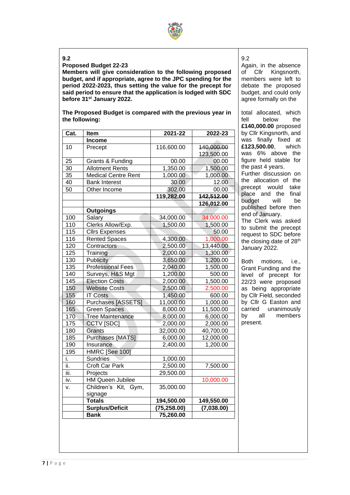

# **9.2**

**Proposed Budget 22-23**

**Members will give consideration to the following proposed budget, and if appropriate, agree to the JPC spending for the period 2022-2023, thus setting the value for the precept for said period to ensure that the application is lodged with SDC before 31st January 2022.**

**The Proposed Budget is compared with the previous year in the following:**

| Cat.          | <b>Item</b>                | 2021-22      | 2022-23    |  |
|---------------|----------------------------|--------------|------------|--|
|               | Income                     |              |            |  |
| 10            | Precept                    | 116,600.00   | 140,000.00 |  |
|               |                            |              | 123,500.00 |  |
| 25            | Grants & Funding           | 00.00        | 00.00      |  |
| 30            | <b>Allotment Rents</b>     | 1,350.00     | 1,500.00   |  |
| 35            | <b>Medical Centre Rent</b> | 1,000.00     | 1,000.00   |  |
| 40            | <b>Bank Interest</b>       | 30.00        | 12.00      |  |
| 50            | Other Income               | 302.00       | 00.00      |  |
|               |                            | 119,282.00   | 142,512.00 |  |
|               |                            |              | 126,012.00 |  |
|               | <b>Outgoings</b>           |              |            |  |
| 100           | Salary                     | 34,000.00    | 34,000.00  |  |
| 110           | Clerks Allow/Exp.          | 1,500.00     | 1,500.00   |  |
| 115           | <b>Cllrs Expenses</b>      |              | 50.00      |  |
| 116           | <b>Rented Spaces</b>       | 4,300.00     | 1,000.00   |  |
| 120           | Contractors                | 2,500.00     | 13,440.00  |  |
| 125           | Training                   | 2,000.00     | 1,300.00   |  |
| 130           | Publicity                  | 3,650.00     | 1,200.00   |  |
| 135           | <b>Professional Fees</b>   | 2,040.00     | 1,500.00   |  |
| 140           | Surveys, H&S Mgt           | 1,200.00     | 500.00     |  |
| 145           | <b>Election Costs</b>      | 2,000.00     | 1,500.00   |  |
| 150           | <b>Website Costs</b>       | 2,500.00     | 2,500.00   |  |
| 155           | <b>IT Costs</b>            | 1,450.00     | 600.00     |  |
| 160           | Purchases [ASSETS]         | 11,000.00    | 1,000.00   |  |
| 165           | <b>Green Spaces</b>        | 8,000.00     | 11,500.00  |  |
| 170           | <b>Tree Maintenance</b>    | 8,000.00     | 6,000.00   |  |
| 175           | CCTV [SDC]                 | 2,000.00     | 2,000.00   |  |
| 180           | Grants                     | 32,000.00    | 40,700.00  |  |
| 185           | Purchases {MATS]           | 6,000.00     | 12,000.00  |  |
| 190           | Insurance                  | 2,400.00     | 1,200.00   |  |
| 195           | <b>HMRC [See 100]</b>      |              |            |  |
| i.            | Sundries                   | 1,000.00     |            |  |
| ii.           | <b>Croft Car Park</b>      | 2,500.00     | 7,500.00   |  |
| iii.          | Projects                   | 29,500.00    |            |  |
| iv.           | <b>HM Queen Jubilee</b>    |              | 10,000.00  |  |
| V.            | Children's Kit, Gym,       | 35,000.00    |            |  |
|               | signage                    |              |            |  |
| <b>Totals</b> |                            | 194,500.00   | 149,550.00 |  |
|               | Surplus/Deficit            | (75, 258.00) | (7,038.00) |  |
|               | <b>Bank</b>                | 75,260.00    |            |  |

9.2

Again, in the absence of Cllr Kingsnorth, members were left to debate the proposed budget, and could only agree formally on the

total allocated, which<br>fell below the helow **£140,000.00** proposed by Cllr Kingsnorth, and was finally fixed at **£123,500.00**, which was 6% above the figure held stable for the past 4 years. Further discussion on the allocation of the precept would take place and the final<br>budget will be budget will be published before then end of January.

The Clerk was asked to submit the precept request to SDC before the closing date of 28<sup>th</sup> January 2022.

Both motions, i.e., Grant Funding and the level of precept for 22/23 were proposed as being appropriate by Cllr Field, seconded by Cllr G Easton and carried unanimously by all members present.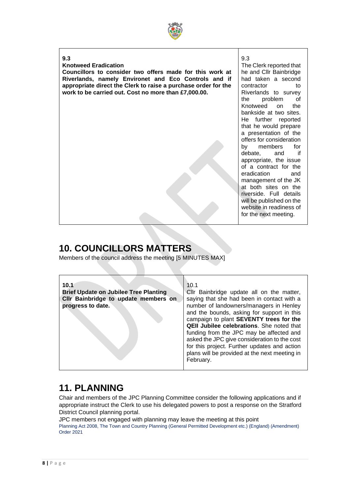

### **9.3**

### **Knotweed Eradication**

**Councillors to consider two offers made for this work at Riverlands, namely Environet and Eco Controls and if appropriate direct the Clerk to raise a purchase order for the work to be carried out. Cost no more than £7,000.00.**

9.3 The Clerk reported that he and Cllr Bainbridge had taken a second contractor to Riverlands to survey the problem of Knotweed on the bankside at two sites. He further reported that he would prepare a presentation of the offers for consideration by members for debate, and if appropriate, the issue

of a contract for the eradication and management of the JK at both sites on the riverside. Full details will be published on the website in readiness of for the next meeting.

# **10. COUNCILLORS MATTERS**

Members of the council address the meeting [5 MINUTES MAX]

| 10.1                                         | 10.1                                          |
|----------------------------------------------|-----------------------------------------------|
| <b>Brief Update on Jubilee Tree Planting</b> | Cllr Bainbridge update all on the matter,     |
| CIIr Bainbridge to update members on         | saying that she had been in contact with a    |
| progress to date.                            | number of landowners/managers in Henley       |
|                                              | and the bounds, asking for support in this    |
|                                              | campaign to plant SEVENTY trees for the       |
|                                              | QEII Jubilee celebrations. She noted that     |
|                                              | funding from the JPC may be affected and      |
|                                              | asked the JPC give consideration to the cost  |
|                                              | for this project. Further updates and action  |
|                                              | plans will be provided at the next meeting in |
|                                              | February.                                     |
|                                              |                                               |

# **11. PLANNING**

Chair and members of the JPC Planning Committee consider the following applications and if appropriate instruct the Clerk to use his delegated powers to post a response on the Stratford District Council planning portal.

JPC members not engaged with planning may leave the meeting at this point Planning Act 2008, The Town and Country Planning (General Permitted Development etc.) (England) (Amendment) Order 2021